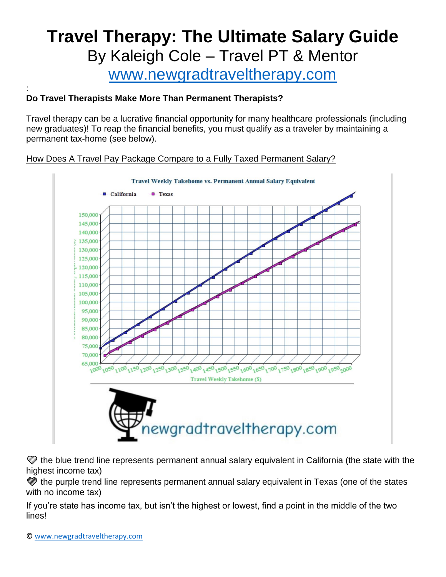# **Travel Therapy: The Ultimate Salary Guide** By Kaleigh Cole – Travel PT & Mentor

[www.newgradtraveltherapy.com](http://www.newgradtraveltherapy.com/)

#### : **Do Travel Therapists Make More Than Permanent Therapists?**

Travel therapy can be a lucrative financial opportunity for many healthcare professionals (including new graduates)! To reap the financial benefits, you must qualify as a traveler by maintaining a permanent tax-home (see below).

## How Does A Travel Pay Package Compare to a Fully Taxed Permanent Salary?



 the blue trend line represents permanent annual salary equivalent in California (the state with the highest income tax)

 the purple trend line represents permanent annual salary equivalent in Texas (one of the states with no income tax)

If you're state has income tax, but isn't the highest or lowest, find a point in the middle of the two lines!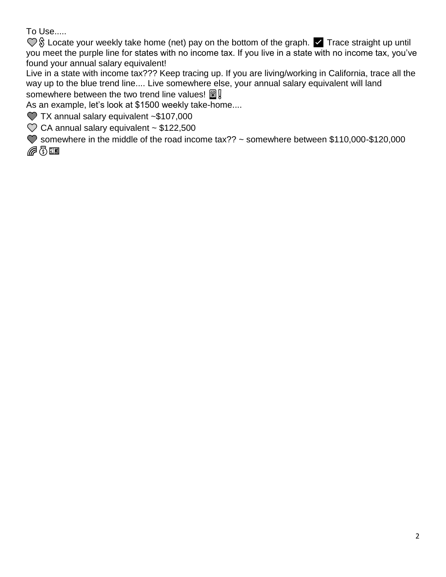To Use.....

 Locate your weekly take home (net) pay on the bottom of the graph. ✅ Trace straight up until you meet the purple line for states with no income tax. If you live in a state with no income tax, you've found your annual salary equivalent!

Live in a state with income tax??? Keep tracing up. If you are living/working in California, trace all the way up to the blue trend line.... Live somewhere else, your annual salary equivalent will land somewhere between the two trend line values!  $\Box$ 

As an example, let's look at \$1500 weekly take-home....

**7X annual salary equivalent ~\$107,000** 

 $\heartsuit$  CA annual salary equivalent ~ \$122,500

 somewhere in the middle of the road income tax?? ~ somewhere between \$110,000-\$120,000 GQI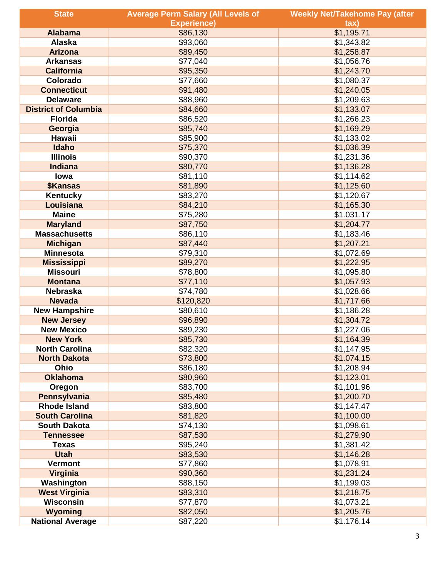| <b>State</b>                                 | <b>Average Perm Salary (All Levels of</b> | <b>Weekly Net/Takehome Pay (after</b> |
|----------------------------------------------|-------------------------------------------|---------------------------------------|
|                                              | <b>Experience)</b>                        | $\mathsf{tax}$                        |
| <b>Alabama</b>                               | \$86,130                                  | \$1,195.71                            |
| <b>Alaska</b>                                | \$93,060                                  | \$1,343.82                            |
| <b>Arizona</b>                               | \$89,450                                  | \$1,258.87                            |
| <b>Arkansas</b>                              | \$77,040                                  | \$1,056.76                            |
| <b>California</b>                            | \$95,350                                  | \$1,243.70                            |
| Colorado                                     | \$77,660                                  | \$1,080.37                            |
| <b>Connecticut</b>                           | \$91,480                                  | \$1,240.05                            |
| <b>Delaware</b>                              | \$88,960                                  | \$1,209.63                            |
| <b>District of Columbia</b>                  | \$84,660                                  | \$1,133.07                            |
| <b>Florida</b>                               | \$86,520                                  | \$1,266.23                            |
| Georgia                                      | \$85,740                                  | \$1,169.29                            |
| Hawaii                                       | \$85,900                                  | \$1,133.02                            |
| Idaho                                        | \$75,370                                  | \$1,036.39                            |
| <b>Illinois</b>                              | \$90,370                                  | \$1,231.36                            |
| <b>Indiana</b>                               | \$80,770                                  | \$1,136.28                            |
| lowa                                         | \$81,110                                  | \$1,114.62                            |
| <b>\$Kansas</b>                              | \$81,890                                  | \$1,125.60                            |
| <b>Kentucky</b>                              | \$83,270                                  | \$1,120.67                            |
| Louisiana                                    | \$84,210                                  | \$1,165.30                            |
| <b>Maine</b>                                 | \$75,280                                  | \$1.031.17                            |
| <b>Maryland</b>                              | \$87,750                                  | \$1,204.77                            |
| <b>Massachusetts</b>                         | \$86,110                                  | \$1,183.46                            |
| <b>Michigan</b>                              | \$87,440                                  | \$1,207.21                            |
| <b>Minnesota</b>                             | \$79,310                                  | \$1,072.69                            |
| <b>Mississippi</b>                           | \$89,270                                  | \$1,222.95                            |
| <b>Missouri</b>                              | \$78,800                                  | \$1,095.80                            |
| <b>Montana</b>                               | \$77,110                                  | \$1,057.93                            |
| <b>Nebraska</b>                              | \$74,780                                  | \$1,028.66                            |
| <b>Nevada</b>                                | \$120,820                                 | \$1,717.66                            |
| <b>New Hampshire</b>                         | \$80,610                                  | \$1,186.28                            |
| <b>New Jersey</b>                            | \$96,890                                  | \$1,304.72                            |
| <b>New Mexico</b>                            | \$89,230                                  | \$1,227.06                            |
| <b>New York</b>                              | \$85,730                                  | \$1,164.39                            |
| <b>North Carolina</b><br><b>North Dakota</b> | \$82.320<br>\$73,800                      | \$1,147.95<br>\$1.074.15              |
| Ohio                                         | \$86,180                                  | \$1,208.94                            |
| <b>Oklahoma</b>                              | \$80,960                                  | \$1,123.01                            |
| Oregon                                       | \$83,700                                  | \$1,101.96                            |
| Pennsylvania                                 | \$85,480                                  | \$1,200.70                            |
| <b>Rhode Island</b>                          | \$83,800                                  | \$1,147.47                            |
| <b>South Carolina</b>                        | \$81,820                                  | \$1,100.00                            |
| <b>South Dakota</b>                          | \$74,130                                  | \$1,098.61                            |
| <b>Tennessee</b>                             | \$87,530                                  | \$1,279.90                            |
| <b>Texas</b>                                 | \$95,240                                  | \$1,381.42                            |
| <b>Utah</b>                                  | \$83,530                                  | \$1,146.28                            |
| <b>Vermont</b>                               | \$77,860                                  | \$1,078.91                            |
| Virginia                                     | \$90,360                                  | \$1,231.24                            |
| Washington                                   | \$88,150                                  | \$1,199.03                            |
| <b>West Virginia</b>                         | \$83,310                                  | \$1,218.75                            |
| <b>Wisconsin</b>                             | \$77,870                                  | \$1,073.21                            |
| <b>Wyoming</b>                               | \$82,050                                  | \$1,205.76                            |
| <b>National Average</b>                      | \$87,220                                  | \$1.176.14                            |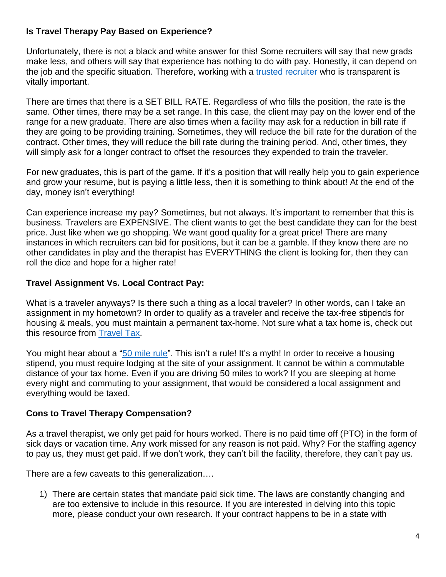## **Is Travel Therapy Pay Based on Experience?**

Unfortunately, there is not a black and white answer for this! Some recruiters will say that new grads make less, and others will say that experience has nothing to do with pay. Honestly, it can depend on the job and the specific situation. Therefore, working with a [trusted recruiter](https://www.newgradtraveltherapy.com/contact) who is transparent is vitally important.

There are times that there is a SET BILL RATE. Regardless of who fills the position, the rate is the same. Other times, there may be a set range. In this case, the client may pay on the lower end of the range for a new graduate. There are also times when a facility may ask for a reduction in bill rate if they are going to be providing training. Sometimes, they will reduce the bill rate for the duration of the contract. Other times, they will reduce the bill rate during the training period. And, other times, they will simply ask for a longer contract to offset the resources they expended to train the traveler.

For new graduates, this is part of the game. If it's a position that will really help you to gain experience and grow your resume, but is paying a little less, then it is something to think about! At the end of the day, money isn't everything!

Can experience increase my pay? Sometimes, but not always. It's important to remember that this is business. Travelers are EXPENSIVE. The client wants to get the best candidate they can for the best price. Just like when we go shopping. We want good quality for a great price! There are many instances in which recruiters can bid for positions, but it can be a gamble. If they know there are no other candidates in play and the therapist has EVERYTHING the client is looking for, then they can roll the dice and hope for a higher rate!

## **Travel Assignment Vs. Local Contract Pay:**

What is a traveler anyways? Is there such a thing as a local traveler? In other words, can I take an assignment in my hometown? In order to qualify as a traveler and receive the tax-free stipends for housing & meals, you must maintain a permanent tax-home. Not sure what a tax home is, check out this resource from [Travel Tax.](https://traveltax.com/2016/02/27/what-is-a-tax-home/)

You might hear about a ["50 mile rule"](https://traveltax.com/2015/01/27/for-those-of-you-too-afraid-to-ask-if-the-50-mile-myth-is-nonsense-what-is-the-rule/). This isn't a rule! It's a myth! In order to receive a housing stipend, you must require lodging at the site of your assignment. It cannot be within a commutable distance of your tax home. Even if you are driving 50 miles to work? If you are sleeping at home every night and commuting to your assignment, that would be considered a local assignment and everything would be taxed.

#### **Cons to Travel Therapy Compensation?**

As a travel therapist, we only get paid for hours worked. There is no paid time off (PTO) in the form of sick days or vacation time. Any work missed for any reason is not paid. Why? For the staffing agency to pay us, they must get paid. If we don't work, they can't bill the facility, therefore, they can't pay us.

There are a few caveats to this generalization….

1) There are certain states that mandate paid sick time. The laws are constantly changing and are too extensive to include in this resource. If you are interested in delving into this topic more, please conduct your own research. If your contract happens to be in a state with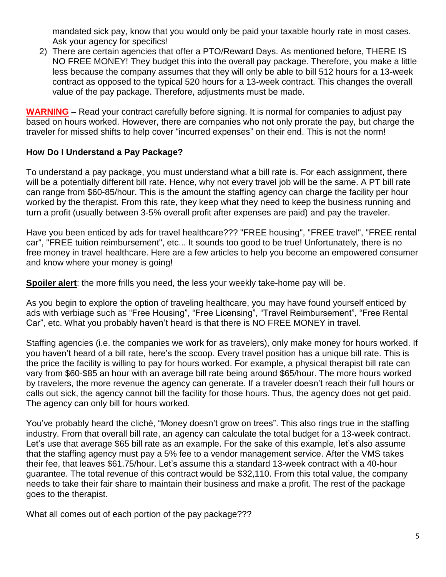mandated sick pay, know that you would only be paid your taxable hourly rate in most cases. Ask your agency for specifics!

2) There are certain agencies that offer a PTO/Reward Days. As mentioned before, THERE IS NO FREE MONEY! They budget this into the overall pay package. Therefore, you make a little less because the company assumes that they will only be able to bill 512 hours for a 13-week contract as opposed to the typical 520 hours for a 13-week contract. This changes the overall value of the pay package. Therefore, adjustments must be made.

**WARNING** – Read your contract carefully before signing. It is normal for companies to adjust pay based on hours worked. However, there are companies who not only prorate the pay, but charge the traveler for missed shifts to help cover "incurred expenses" on their end. This is not the norm!

#### **How Do I Understand a Pay Package?**

To understand a pay package, you must understand what a bill rate is. For each assignment, there will be a potentially different bill rate. Hence, why not every travel job will be the same. A PT bill rate can range from \$60-85/hour. This is the amount the staffing agency can charge the facility per hour worked by the therapist. From this rate, they keep what they need to keep the business running and turn a profit (usually between 3-5% overall profit after expenses are paid) and pay the traveler.

Have you been enticed by ads for travel healthcare??? "FREE housing", "FREE travel", "FREE rental car", "FREE tuition reimbursement", etc... It sounds too good to be true! Unfortunately, there is no free money in travel healthcare. Here are a few articles to help you become an empowered consumer and know where your money is going!

**Spoiler alert**: the more frills you need, the less your weekly take-home pay will be.

As you begin to explore the option of traveling healthcare, you may have found yourself enticed by ads with verbiage such as "Free Housing", "Free Licensing", "Travel Reimbursement", "Free Rental Car", etc. What you probably haven't heard is that there is NO FREE MONEY in travel.

Staffing agencies (i.e. the companies we work for as travelers), only make money for hours worked. If you haven't heard of a bill rate, here's the scoop. Every travel position has a unique bill rate. This is the price the facility is willing to pay for hours worked. For example, a physical therapist bill rate can vary from \$60-\$85 an hour with an average bill rate being around \$65/hour. The more hours worked by travelers, the more revenue the agency can generate. If a traveler doesn't reach their full hours or calls out sick, the agency cannot bill the facility for those hours. Thus, the agency does not get paid. The agency can only bill for hours worked.

You've probably heard the cliché, "Money doesn't grow on trees". This also rings true in the staffing industry. From that overall bill rate, an agency can calculate the total budget for a 13-week contract. Let's use that average \$65 bill rate as an example. For the sake of this example, let's also assume that the staffing agency must pay a 5% fee to a vendor management service. After the VMS takes their fee, that leaves \$61.75/hour. Let's assume this a standard 13-week contract with a 40-hour guarantee. The total revenue of this contract would be \$32,110. From this total value, the company needs to take their fair share to maintain their business and make a profit. The rest of the package goes to the therapist.

What all comes out of each portion of the pay package???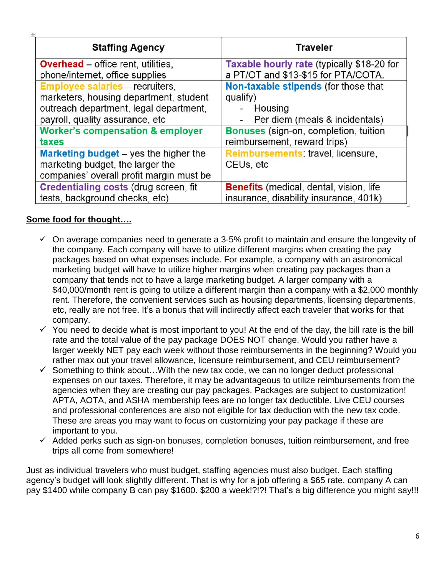| <b>Staffing Agency</b>                       | <b>Traveler</b>                                |
|----------------------------------------------|------------------------------------------------|
| <b>Overhead</b> – office rent, utilities,    | Taxable hourly rate (typically \$18-20 for     |
| phone/internet, office supplies              | a PT/OT and \$13-\$15 for PTA/COTA.            |
| <b>Employee salaries - recruiters,</b>       | Non-taxable stipends (for those that           |
| marketers, housing department, student       | qualify)                                       |
| outreach department, legal department,       | - Housing                                      |
| payroll, quality assurance, etc              | Per diem (meals & incidentals)<br>-            |
| <b>Worker's compensation &amp; employer</b>  | <b>Bonuses</b> (sign-on, completion, tuition   |
| taxes                                        | reimbursement, reward trips)                   |
| <b>Marketing budget</b> – yes the higher the | Reimbursements: travel, licensure,             |
| marketing budget, the larger the             | CEUs, etc                                      |
| companies' overall profit margin must be     |                                                |
| <b>Credentialing costs (drug screen, fit</b> | <b>Benefits</b> (medical, dental, vision, life |
| tests, background checks, etc)               | insurance, disability insurance, 401k)         |

## **Some food for thought….**

 $|+1|$ 

- $\checkmark$  On average companies need to generate a 3-5% profit to maintain and ensure the longevity of the company. Each company will have to utilize different margins when creating the pay packages based on what expenses include. For example, a company with an astronomical marketing budget will have to utilize higher margins when creating pay packages than a company that tends not to have a large marketing budget. A larger company with a \$40,000/month rent is going to utilize a different margin than a company with a \$2,000 monthly rent. Therefore, the convenient services such as housing departments, licensing departments, etc, really are not free. It's a bonus that will indirectly affect each traveler that works for that company.
- $\checkmark$  You need to decide what is most important to you! At the end of the day, the bill rate is the bill rate and the total value of the pay package DOES NOT change. Would you rather have a larger weekly NET pay each week without those reimbursements in the beginning? Would you rather max out your travel allowance, licensure reimbursement, and CEU reimbursement?
- $\checkmark$  Something to think about...With the new tax code, we can no longer deduct professional expenses on our taxes. Therefore, it may be advantageous to utilize reimbursements from the agencies when they are creating our pay packages. Packages are subject to customization! APTA, AOTA, and ASHA membership fees are no longer tax deductible. Live CEU courses and professional conferences are also not eligible for tax deduction with the new tax code. These are areas you may want to focus on customizing your pay package if these are important to you.
- $\checkmark$  Added perks such as sign-on bonuses, completion bonuses, tuition reimbursement, and free trips all come from somewhere!

Just as individual travelers who must budget, staffing agencies must also budget. Each staffing agency's budget will look slightly different. That is why for a job offering a \$65 rate, company A can pay \$1400 while company B can pay \$1600. \$200 a week!?!?! That's a big difference you might say!!!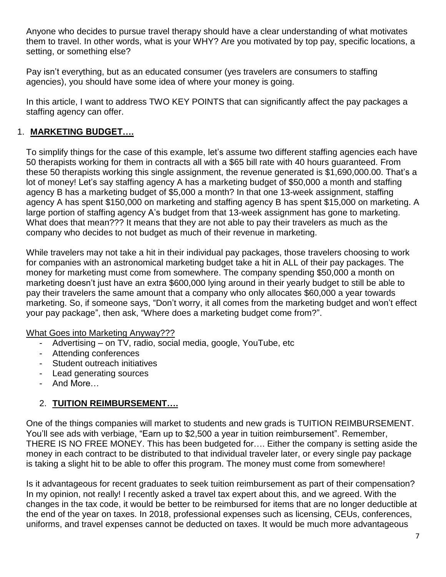Anyone who decides to pursue travel therapy should have a clear understanding of what motivates them to travel. In other words, what is your WHY? Are you motivated by top pay, specific locations, a setting, or something else?

Pay isn't everything, but as an educated consumer (yes travelers are consumers to staffing agencies), you should have some idea of where your money is going.

In this article, I want to address TWO KEY POINTS that can significantly affect the pay packages a staffing agency can offer.

## 1. **MARKETING BUDGET….**

To simplify things for the case of this example, let's assume two different staffing agencies each have 50 therapists working for them in contracts all with a \$65 bill rate with 40 hours guaranteed. From these 50 therapists working this single assignment, the revenue generated is \$1,690,000.00. That's a lot of money! Let's say staffing agency A has a marketing budget of \$50,000 a month and staffing agency B has a marketing budget of \$5,000 a month? In that one 13-week assignment, staffing agency A has spent \$150,000 on marketing and staffing agency B has spent \$15,000 on marketing. A large portion of staffing agency A's budget from that 13-week assignment has gone to marketing. What does that mean??? It means that they are not able to pay their travelers as much as the company who decides to not budget as much of their revenue in marketing.

While travelers may not take a hit in their individual pay packages, those travelers choosing to work for companies with an astronomical marketing budget take a hit in ALL of their pay packages. The money for marketing must come from somewhere. The company spending \$50,000 a month on marketing doesn't just have an extra \$600,000 lying around in their yearly budget to still be able to pay their travelers the same amount that a company who only allocates \$60,000 a year towards marketing. So, if someone says, "Don't worry, it all comes from the marketing budget and won't effect your pay package", then ask, "Where does a marketing budget come from?".

#### What Goes into Marketing Anyway???

- Advertising on TV, radio, social media, google, YouTube, etc
- Attending conferences
- Student outreach initiatives
- Lead generating sources
- And More…

## 2. **TUITION REIMBURSEMENT….**

One of the things companies will market to students and new grads is TUITION REIMBURSEMENT. You'll see ads with verbiage, "Earn up to \$2,500 a year in tuition reimbursement". Remember, THERE IS NO FREE MONEY. This has been budgeted for…. Either the company is setting aside the money in each contract to be distributed to that individual traveler later, or every single pay package is taking a slight hit to be able to offer this program. The money must come from somewhere!

Is it advantageous for recent graduates to seek tuition reimbursement as part of their compensation? In my opinion, not really! I recently asked a travel tax expert about this, and we agreed. With the changes in the tax code, it would be better to be reimbursed for items that are no longer deductible at the end of the year on taxes. In 2018, professional expenses such as licensing, CEUs, conferences, uniforms, and travel expenses cannot be deducted on taxes. It would be much more advantageous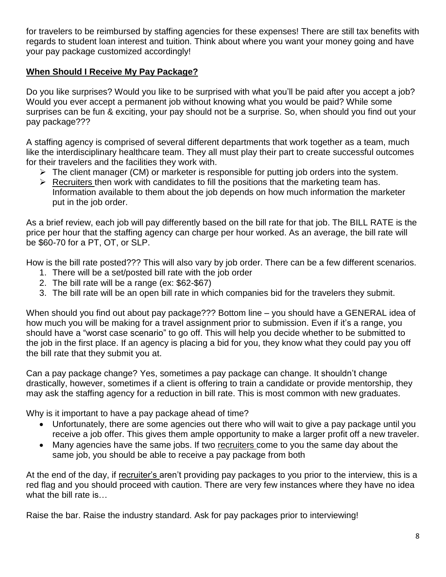for travelers to be reimbursed by staffing agencies for these expenses! There are still tax benefits with regards to student loan interest and tuition. Think about where you want your money going and have your pay package customized accordingly!

## **When Should I Receive My Pay Package?**

Do you like surprises? Would you like to be surprised with what you'll be paid after you accept a job? Would you ever accept a permanent job without knowing what you would be paid? While some surprises can be fun & exciting, your pay should not be a surprise. So, when should you find out your pay package???

A staffing agency is comprised of several different departments that work together as a team, much like the interdisciplinary healthcare team. They all must play their part to create successful outcomes for their travelers and the facilities they work with.

- $\triangleright$  The client manager (CM) or marketer is responsible for putting job orders into the system.
- $\triangleright$  [Recruiters](https://www.newgradtraveltherapy.com/contact) then work with candidates to fill the positions that the marketing team has. Information available to them about the job depends on how much information the marketer put in the job order.

As a brief review, each job will pay differently based on the bill rate for that job. The BILL RATE is the price per hour that the staffing agency can charge per hour worked. As an average, the bill rate will be \$60-70 for a PT, OT, or SLP.

How is the bill rate posted??? This will also vary by job order. There can be a few different scenarios.

- 1. There will be a set/posted bill rate with the job order
- 2. The bill rate will be a range (ex: \$62-\$67)
- 3. The bill rate will be an open bill rate in which companies bid for the travelers they submit.

When should you find out about pay package??? Bottom line – you should have a GENERAL idea of how much you will be making for a travel assignment prior to submission. Even if it's a range, you should have a "worst case scenario" to go off. This will help you decide whether to be submitted to the job in the first place. If an agency is placing a bid for you, they know what they could pay you off the bill rate that they submit you at.

Can a pay package change? Yes, sometimes a pay package can change. It shouldn't change drastically, however, sometimes if a client is offering to train a candidate or provide mentorship, they may ask the staffing agency for a reduction in bill rate. This is most common with new graduates.

Why is it important to have a pay package ahead of time?

- Unfortunately, there are some agencies out there who will wait to give a pay package until you receive a job offer. This gives them ample opportunity to make a larger profit off a new traveler.
- Many agencies have the same jobs. If two [recruiters](https://www.newgradtraveltherapy.com/contact) come to you the same day about the same job, you should be able to receive a pay package from both

At the end of the day, if [recruiter's](https://www.newgradtraveltherapy.com/contact) aren't providing pay packages to you prior to the interview, this is a red flag and you should proceed with caution. There are very few instances where they have no idea what the bill rate is…

Raise the bar. Raise the industry standard. Ask for pay packages prior to interviewing!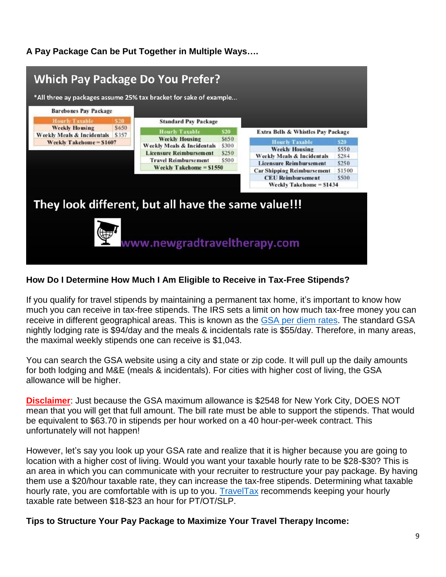## **A Pay Package Can be Put Together in Multiple Ways….**



#### **How Do I Determine How Much I Am Eligible to Receive in Tax-Free Stipends?**

If you qualify for travel stipends by maintaining a permanent tax home, it's important to know how much you can receive in tax-free stipends. The IRS sets a limit on how much tax-free money you can receive in different geographical areas. This is known as the [GSA per diem rates.](https://www.gsa.gov/travel/plan-book/per-diem-rates) The standard GSA nightly lodging rate is \$94/day and the meals & incidentals rate is \$55/day. Therefore, in many areas, the maximal weekly stipends one can receive is \$1,043.

You can search the GSA website using a city and state or zip code. It will pull up the daily amounts for both lodging and M&E (meals & incidentals). For cities with higher cost of living, the GSA allowance will be higher.

**Disclaimer**: Just because the GSA maximum allowance is \$2548 for New York City, DOES NOT mean that you will get that full amount. The bill rate must be able to support the stipends. That would be equivalent to \$63.70 in stipends per hour worked on a 40 hour-per-week contract. This unfortunately will not happen!

However, let's say you look up your GSA rate and realize that it is higher because you are going to location with a higher cost of living. Would you want your taxable hourly rate to be \$28-\$30? This is an area in which you can communicate with your recruiter to restructure your pay package. By having them use a \$20/hour taxable rate, they can increase the tax-free stipends. Determining what taxable hourly rate, you are comfortable with is up to you. [TravelTax](https://traveltax.com/) recommends keeping your hourly taxable rate between \$18-\$23 an hour for PT/OT/SLP.

**Tips to Structure Your Pay Package to Maximize Your Travel Therapy Income:**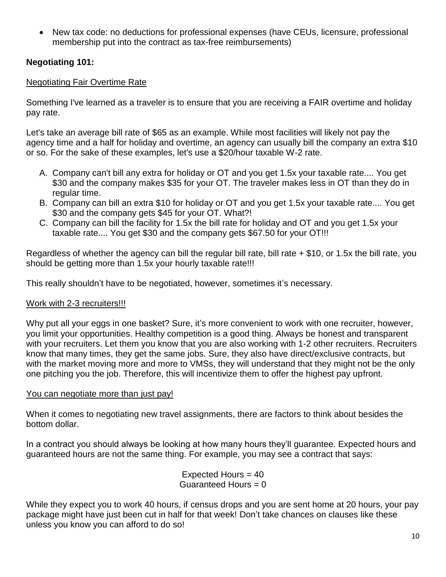• New tax code: no deductions for professional expenses (have CEUs, licensure, professional membership put into the contract as tax-free reimbursements)

#### **Negotiating 101:**

#### Negotiating Fair Overtime Rate

Something I've learned as a traveler is to ensure that you are receiving a FAIR overtime and holiday pay rate.

Let's take an average bill rate of \$65 as an example. While most facilities will likely not pay the agency time and a half for holiday and overtime, an agency can usually bill the company an extra \$10 or so. For the sake of these examples, let's use a \$20/hour taxable W-2 rate.

- A. Company can't bill any extra for holiday or OT and you get 1.5x your taxable rate.... You get \$30 and the company makes \$35 for your OT. The traveler makes less in OT than they do in regular time.
- B. Company can bill an extra \$10 for holiday or OT and you get 1.5x your taxable rate.... You get \$30 and the company gets \$45 for your OT. What?!
- C. Company can bill the facility for 1.5x the bill rate for holiday and OT and you get 1.5x your taxable rate.... You get \$30 and the company gets \$67.50 for your OT!!!

Regardless of whether the agency can bill the regular bill rate, bill rate + \$10, or 1.5x the bill rate, you should be getting more than 1.5x your hourly taxable rate!!!

This really shouldn't have to be negotiated, however, sometimes it's necessary.

#### [Work with 2-3 recruiters!!!](https://www.newgradtraveltherapy.com/contact)

Why put all your eggs in one basket? Sure, it's more convenient to work with one recruiter, however, you limit your opportunities. Healthy competition is a good thing. Always be honest and transparent with your recruiters. Let them you know that you are also working with 1-2 other recruiters. Recruiters know that many times, they get the same jobs. Sure, they also have direct/exclusive contracts, but with the market moving more and more to VMSs, they will understand that they might not be the only one pitching you the job. Therefore, this will incentivize them to offer the highest pay upfront.

#### You can negotiate more than just pay!

When it comes to negotiating new travel assignments, there are factors to think about besides the bottom dollar.

In a contract you should always be looking at how many hours they'll guarantee. Expected hours and guaranteed hours are not the same thing. For example, you may see a contract that says:

> Expected Hours = 40 Guaranteed Hours  $= 0$

While they expect you to work 40 hours, if census drops and you are sent home at 20 hours, your pay package might have just been cut in half for that week! Don't take chances on clauses like these unless you know you can afford to do so!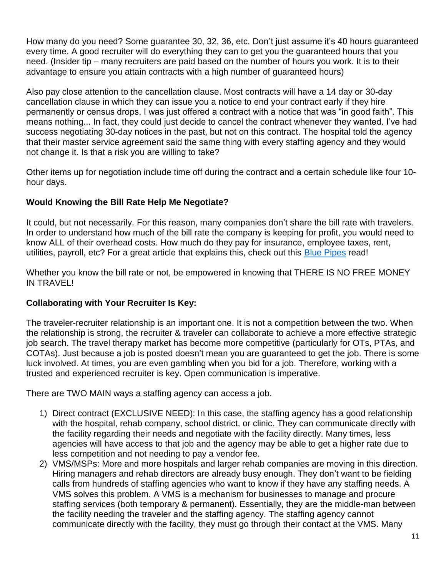How many do you need? Some guarantee 30, 32, 36, etc. Don't just assume it's 40 hours guaranteed every time. A good recruiter will do everything they can to get you the guaranteed hours that you need. (Insider tip – many recruiters are paid based on the number of hours you work. It is to their advantage to ensure you attain contracts with a high number of guaranteed hours)

Also pay close attention to the cancellation clause. Most contracts will have a 14 day or 30-day cancellation clause in which they can issue you a notice to end your contract early if they hire permanently or census drops. I was just offered a contract with a notice that was "in good faith". This means nothing... In fact, they could just decide to cancel the contract whenever they wanted. I've had success negotiating 30-day notices in the past, but not on this contract. The hospital told the agency that their master service agreement said the same thing with every staffing agency and they would not change it. Is that a risk you are willing to take?

Other items up for negotiation include time off during the contract and a certain schedule like four 10 hour days.

## **Would Knowing the Bill Rate Help Me Negotiate?**

It could, but not necessarily. For this reason, many companies don't share the bill rate with travelers. In order to understand how much of the bill rate the company is keeping for profit, you would need to know ALL of their overhead costs. How much do they pay for insurance, employee taxes, rent, utilities, payroll, etc? For a great article that explains this, check out this [Blue Pipes](https://blog.bluepipes.com/travel-nursing-pay-why-dont-agencies-divulge-the-bill-rate/) read!

Whether you know the bill rate or not, be empowered in knowing that THERE IS NO FREE MONEY IN TRAVEL!

## **Collaborating with Your Recruiter Is Key:**

The traveler-recruiter relationship is an important one. It is not a competition between the two. When the relationship is strong, the recruiter & traveler can collaborate to achieve a more effective strategic job search. The travel therapy market has become more competitive (particularly for OTs, PTAs, and COTAs). Just because a job is posted doesn't mean you are guaranteed to get the job. There is some luck involved. At times, you are even gambling when you bid for a job. Therefore, working with a trusted and experienced recruiter is key. Open communication is imperative.

There are TWO MAIN ways a staffing agency can access a job.

- 1) Direct contract (EXCLUSIVE NEED): In this case, the staffing agency has a good relationship with the hospital, rehab company, school district, or clinic. They can communicate directly with the facility regarding their needs and negotiate with the facility directly. Many times, less agencies will have access to that job and the agency may be able to get a higher rate due to less competition and not needing to pay a vendor fee.
- 2) VMS/MSPs: More and more hospitals and larger rehab companies are moving in this direction. Hiring managers and rehab directors are already busy enough. They don't want to be fielding calls from hundreds of staffing agencies who want to know if they have any staffing needs. A VMS solves this problem. A VMS is a mechanism for businesses to manage and procure staffing services (both temporary & permanent). Essentially, they are the middle-man between the facility needing the traveler and the staffing agency. The staffing agency cannot communicate directly with the facility, they must go through their contact at the VMS. Many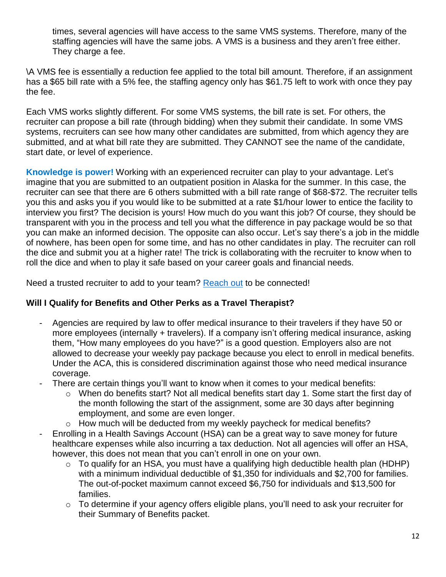times, several agencies will have access to the same VMS systems. Therefore, many of the staffing agencies will have the same jobs. A VMS is a business and they aren't free either. They charge a fee.

\A VMS fee is essentially a reduction fee applied to the total bill amount. Therefore, if an assignment has a \$65 bill rate with a 5% fee, the staffing agency only has \$61.75 left to work with once they pay the fee.

Each VMS works slightly different. For some VMS systems, the bill rate is set. For others, the recruiter can propose a bill rate (through bidding) when they submit their candidate. In some VMS systems, recruiters can see how many other candidates are submitted, from which agency they are submitted, and at what bill rate they are submitted. They CANNOT see the name of the candidate, start date, or level of experience.

**Knowledge is power!** Working with an experienced recruiter can play to your advantage. Let's imagine that you are submitted to an outpatient position in Alaska for the summer. In this case, the recruiter can see that there are 6 others submitted with a bill rate range of \$68-\$72. The recruiter tells you this and asks you if you would like to be submitted at a rate \$1/hour lower to entice the facility to interview you first? The decision is yours! How much do you want this job? Of course, they should be transparent with you in the process and tell you what the difference in pay package would be so that you can make an informed decision. The opposite can also occur. Let's say there's a job in the middle of nowhere, has been open for some time, and has no other candidates in play. The recruiter can roll the dice and submit you at a higher rate! The trick is collaborating with the recruiter to know when to roll the dice and when to play it safe based on your career goals and financial needs.

Need a trusted recruiter to add to your team? [Reach out](https://www.newgradtraveltherapy.com/contact) to be connected!

## **Will I Qualify for Benefits and Other Perks as a Travel Therapist?**

- Agencies are required by law to offer medical insurance to their travelers if they have 50 or more employees (internally + travelers). If a company isn't offering medical insurance, asking them, "How many employees do you have?" is a good question. Employers also are not allowed to decrease your weekly pay package because you elect to enroll in medical benefits. Under the ACA, this is considered discrimination against those who need medical insurance coverage.
- There are certain things you'll want to know when it comes to your medical benefits:
	- $\circ$  When do benefits start? Not all medical benefits start day 1. Some start the first day of the month following the start of the assignment, some are 30 days after beginning employment, and some are even longer.
	- $\circ$  How much will be deducted from my weekly paycheck for medical benefits?
- Enrolling in a Health Savings Account (HSA) can be a great way to save money for future healthcare expenses while also incurring a tax deduction. Not all agencies will offer an HSA, however, this does not mean that you can't enroll in one on your own.
	- $\circ$  To qualify for an HSA, you must have a qualifying high deductible health plan (HDHP) with a minimum individual deductible of \$1,350 for individuals and \$2,700 for families. The out-of-pocket maximum cannot exceed \$6,750 for individuals and \$13,500 for families.
	- o To determine if your agency offers eligible plans, you'll need to ask your recruiter for their Summary of Benefits packet.